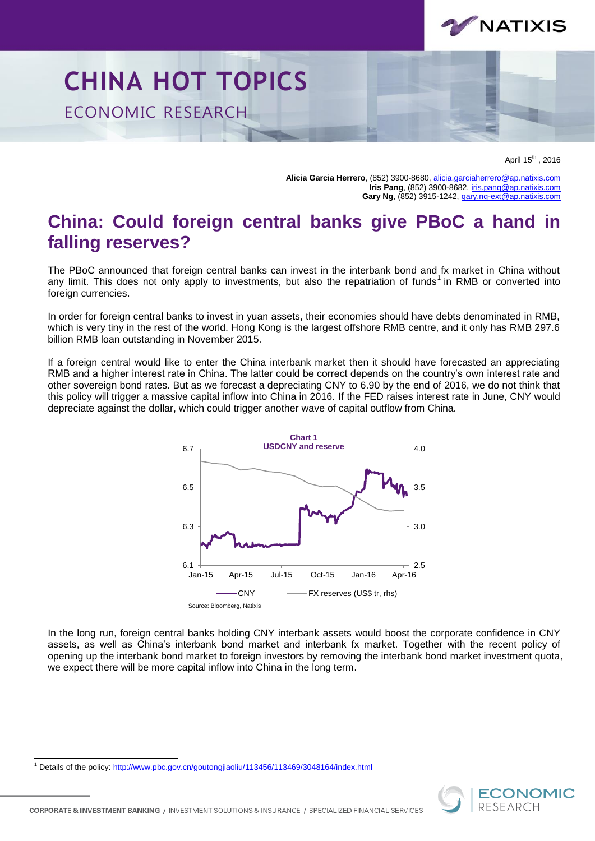

## **CHINA HOT TOPICS** ECONOMIC RESEARCH

April 15<sup>th</sup>, 2016

**Alicia Garcia Herrero**, (852) 3900-8680[, alicia.garciaherrero@ap.natixis.com](mailto:alicia.garciaherrero@ap.natixis.com) **Iris Pang**, (852) 3900-8682[, iris.pang@ap.natixis.com](mailto:iris.pang@ap.natixis.com) **Gary Ng**, (852) 3915-1242[, gary.ng-ext@ap.natixis.com](mailto:gary.ng-ext@ap.natixis.com)

## **China: Could foreign central banks give PBoC a hand in falling reserves?**

The PBoC announced that foreign central banks can invest in the interbank bond and fx market in China without any limit. This does not only apply to investments, but also the repatriation of funds<sup>1</sup> in RMB or converted into foreign currencies.

In order for foreign central banks to invest in yuan assets, their economies should have debts denominated in RMB, which is very tiny in the rest of the world. Hong Kong is the largest offshore RMB centre, and it only has RMB 297.6 billion RMB loan outstanding in November 2015.

If a foreign central would like to enter the China interbank market then it should have forecasted an appreciating RMB and a higher interest rate in China. The latter could be correct depends on the country's own interest rate and other sovereign bond rates. But as we forecast a depreciating CNY to 6.90 by the end of 2016, we do not think that this policy will trigger a massive capital inflow into China in 2016. If the FED raises interest rate in June, CNY would depreciate against the dollar, which could trigger another wave of capital outflow from China.



In the long run, foreign central banks holding CNY interbank assets would boost the corporate confidence in CNY assets, as well as China's interbank bond market and interbank fx market. Together with the recent policy of opening up the interbank bond market to foreign investors by removing the interbank bond market investment quota, we expect there will be more capital inflow into China in the long term.

l <sup>1</sup> Details of the policy:<http://www.pbc.gov.cn/goutongjiaoliu/113456/113469/3048164/index.html>